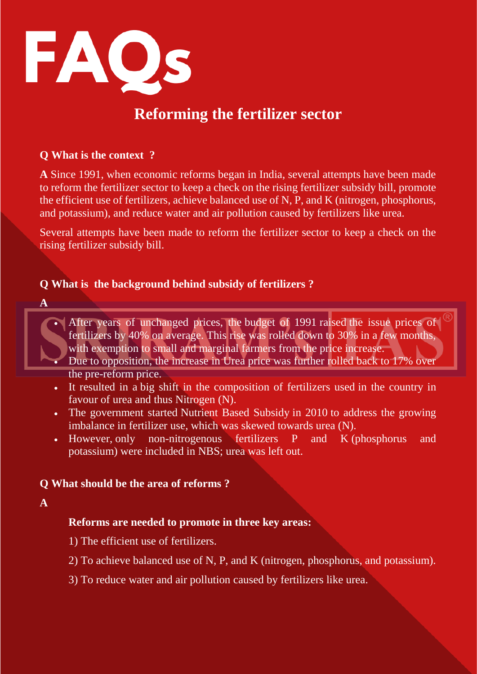

# **Reforming the fertilizer sector**

#### **Q What is the context ?**

**A** Since 1991, when economic reforms began in India, several attempts have been made to reform the fertilizer sector to keep a check on the rising fertilizer subsidy bill, promote the efficient use of fertilizers, achieve balanced use of N, P, and K (nitrogen, phosphorus, and potassium), and reduce water and air pollution caused by fertilizers like urea.

Several attempts have been made to reform the fertilizer sector to keep a check on the rising fertilizer subsidy bill.

#### **Q What is the background behind subsidy of fertilizers ?**

- **A**
- After years of unchanged prices, the budget of 1991 raised the issue prices of fertilizers by 40% on average. This rise was rolled down to 30% in a few months, with exemption to small and marginal farmers from the price increase.
- Due to opposition, the increase in Urea price was further rolled back to 17% over the pre-reform price.
- It resulted in a big shift in the composition of fertilizers used in the country in favour of urea and thus Nitrogen (N).
- The government started Nutrient Based Subsidy in 2010 to address the growing imbalance in fertilizer use, which was skewed towards urea (N).
- However, only non-nitrogenous fertilizers P and K (phosphorus and potassium) were included in NBS; urea was left out.

# **Q What should be the area of reforms ?**

**A** 

# **Reforms are needed to promote in three key areas:**

- 1) The efficient use of fertilizers.
- 2) To achieve balanced use of N, P, and K (nitrogen, phosphorus, and potassium).
- 3) To reduce water and air pollution caused by fertilizers like urea.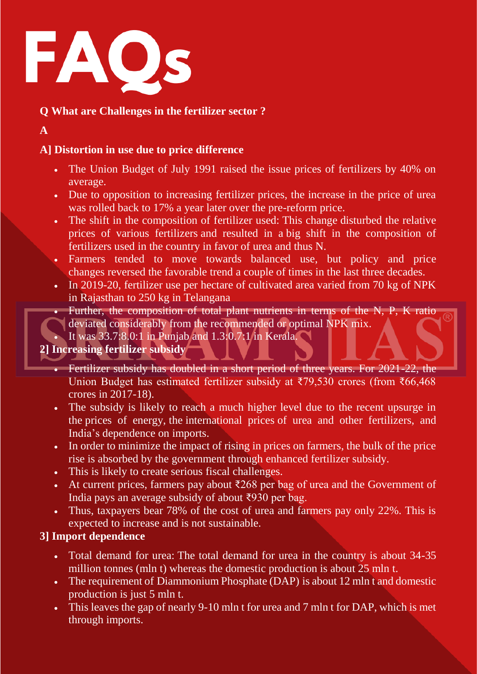

# **Q What are Challenges in the fertilizer sector ?**

**A** 

# **A] Distortion in use due to price difference**

- The Union Budget of July 1991 raised the issue prices of fertilizers by 40% on average.
- Due to opposition to increasing fertilizer prices, the increase in the price of urea was rolled back to 17% a year later over the pre-reform price.
- The shift in the composition of fertilizer used: This change disturbed the relative prices of various fertilizers and resulted in a big shift in the composition of fertilizers used in the country in favor of urea and thus N.
- Farmers tended to move towards balanced use, but policy and price changes reversed the favorable trend a couple of times in the last three decades.
- In 2019-20, fertilizer use per hectare of cultivated area varied from 70 kg of NPK in Rajasthan to 250 kg in Telangana
	- Further, the composition of total plant nutrients in terms of the N, P, K ratio deviated considerably from the recommended or optimal NPK mix.

It was 33.7:8.0:1 in Punjab and 1.3:0.7:1 in Kerala.

**2] Increasing fertilizer subsidy**

- Fertilizer subsidy has doubled in a short period of three years. For 2021-22, the Union Budget has estimated fertilizer subsidy at ₹79,530 crores (from ₹66,468 crores in 2017-18).
- The subsidy is likely to reach a much higher level due to the recent upsurge in the prices of energy, the international prices of urea and other fertilizers, and India's dependence on imports.
- In order to minimize the impact of rising in prices on farmers, the bulk of the price rise is absorbed by the government through enhanced fertilizer subsidy.
- This is likely to create serious fiscal challenges.
- At current prices, farmers pay about  $\overline{268}$  per bag of urea and the Government of India pays an average subsidy of about ₹930 per bag.
- Thus, taxpayers bear 78% of the cost of urea and farmers pay only 22%. This is expected to increase and is not sustainable.

# **3] Import dependence**

- Total demand for urea: The total demand for urea in the country is about 34-35 million tonnes (mln t) whereas the domestic production is about  $\overline{25}$  mln t.
- The requirement of Diammonium Phosphate (DAP) is about 12 mln t and domestic production is just 5 mln t.
- This leaves the gap of nearly 9-10 mln t for urea and 7 mln t for DAP, which is met through imports.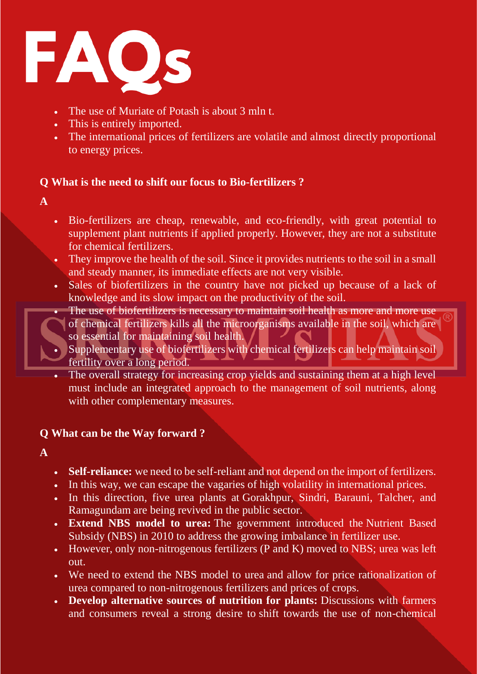

- The use of Muriate of Potash is about 3 mln t.
- This is entirely imported.
- The international prices of fertilizers are volatile and almost directly proportional to energy prices.

# **Q What is the need to shift our focus to Bio-fertilizers ?**

- **A**
- Bio-fertilizers are cheap, renewable, and eco-friendly, with great potential to supplement plant nutrients if applied properly. However, they are not a substitute for chemical fertilizers.
- They improve the health of the soil. Since it provides nutrients to the soil in a small and steady manner, its immediate effects are not very visible.
- Sales of biofertilizers in the country have not picked up because of a lack of knowledge and its slow impact on the productivity of the soil.
- The use of biofertilizers is necessary to maintain soil health as more and more use of chemical fertilizers kills all the microorganisms available in the soil, which are so essential for maintaining soil health.
- Supplementary use of biofertilizers with chemical fertilizers can help maintain soil fertility over a long period.
- The overall strategy for increasing crop yields and sustaining them at a high level must include an integrated approach to the management of soil nutrients, along with other complementary measures.

# **Q What can be the Way forward ?**

- **A**
- **Self-reliance:** we need to be self-reliant and not depend on the import of fertilizers.
- In this way, we can escape the vagaries of high volatility in international prices.
- In this direction, five urea plants at Gorakhpur, Sindri, Barauni, Talcher, and Ramagundam are being revived in the public sector.
- **Extend NBS model to urea:** The government introduced the Nutrient Based Subsidy (NBS) in 2010 to address the growing imbalance in fertilizer use.
- However, only non-nitrogenous fertilizers (P and K) moved to NBS; urea was left out.
- We need to extend the NBS model to urea and allow for price rationalization of urea compared to non-nitrogenous fertilizers and prices of crops.
- **Develop alternative sources of nutrition for plants:** Discussions with farmers and consumers reveal a strong desire to shift towards the use of non-chemical